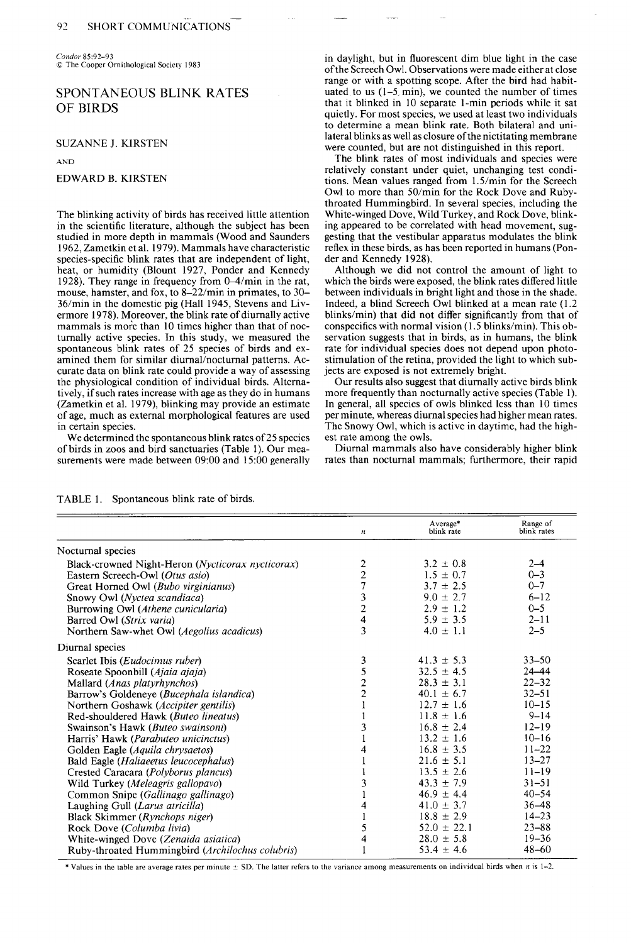**Condor 85:92-93**   $© The Cooper Ornithological Society 1983$ 

## **SPONTANEOUS BLINK RATES OF BIRDS**

**SUZANNE J. KIRSTEN** 

**AND** 

### **EDWARD B. KIRSTEN**

**The blinking activity of birds has received little attention in the scientific literature, although the subject has been studied in more depth in mammals (Wood and Saunders 1962, Zametkin et al. 1979). Mammals have characteristic species-specific blink rates that are independent of light, heat, or humidity (Blount 1927, Ponder and Kennedy 1928). They range in frequency from 0-4/min in the rat, mouse, hamster, and fox, to 8-22/min in primates, to 30- 36/min in the domestic pig (Hall 1945, Stevens and Livermore 1978). Moreover, the blink rate of diurnally active mammals is more than 10 times higher than that of nocturnally active species. In this study, we measured the spontaneous blink rates of 25 species of birds and examined them for similar diurnal/nocturnal patterns. Accurate data on blink rate could provide a way of assessing the physiological condition of individual birds. Altematively, if such rates increase with age as they do in humans (Zametkin et al. 1979) blinking may provide an estimate of age, much as external morphological features are used in certain species.** 

**We determined the spontaneous blink rates of 25 species of birds in zoos and bird sanctuaries (Table 1). Our measurements were made between 09:OO and 15:00 generally**  **in daylight, but in fluorescent dim blue light in the case ofthe Screech Owl. Observations were made either at close range or with a spotting scope. After the bird had habituated to us (1-5. min), we counted the number of times that it blinked in 10 separate I-min periods while it sat quietly. For most species, we used at least two individuals to determine a mean blink rate. Both bilateral and unilateral blinks as well as closure ofthe nictitating membrane were counted, but are not distinguished in this report.** 

**The blink rates of most individuals and species were**  relatively constant under quiet, unchanging test condi**tions. Mean values ranged from 1.5/min for the Screech Owl to more than 50/min for the Rock Dove and Rubythroated Hummingbird. In several species, including the White-winged Dove, Wild Turkey, and Rock Dove, blinking appeared to be correlated with head movement, suggesting that the vestibular apparatus modulates the blink reflex in these birds, as has been reported in humans (Ponder and Kennedy 1928).** 

**Although we did not control the amount of light to which the birds were exposed, the blink rates differed little between individuals in bright light and those in the shade. Indeed, a blind Screech Owl blinked at a mean rate (1.2 blinks/min) that did not differ significantly from that of**  conspecifics with normal vision (1.5 blinks/min). This ob**servation suggests that in birds, as in humans, the blink rate for individual species does not depend upon photostimulation of the retina, provided the light to which subjects are exposed is not extremely bright.** 

Our results also suggest that diurnally active birds blink **more frequently than nocturnally active species (Table 1). In general, all species of owls blinked less than 10 times per minute, whereas diurnal species had higher mean rates. The Snowy Owl, which is active in daytime, had the highest rate among the owls.** 

**Diurnal mammals also have considerably higher blink rates than nocturnal mammals; furthermore, their rapid** 

|                                                            | $\boldsymbol{n}$        | Average*<br>blink rate | Range of<br>blink rates |
|------------------------------------------------------------|-------------------------|------------------------|-------------------------|
| Nocturnal species                                          |                         |                        |                         |
| Black-crowned Night-Heron ( <i>Nycticorax nycticorax</i> ) | $\overline{c}$          | $3.2 \pm 0.8$          | $2 - 4$                 |
| Eastern Screech-Owl (Otus asio)                            | $\overline{c}$          | $1.5 \pm 0.7$          | $0 - 3$                 |
| Great Horned Owl (Bubo virginianus)                        | $\overline{7}$          | $3.7 \pm 2.5$          | $0 - 7$                 |
| Snowy Owl (Nyctea scandiaca)                               |                         | $9.0 \pm 2.7$          | $6 - 12$                |
| Burrowing Owl (Athene cunicularia)                         | $\frac{3}{2}$           | $2.9 \pm 1.2$          | $0 - 5$                 |
| Barred Owl (Strix varia)                                   | $\overline{\mathbf{4}}$ | $5.9 \pm 3.5$          | $2 - 11$                |
| Northern Saw-whet Owl (Aegolius acadicus)                  | 3                       | $4.0 \pm 1.1$          | $2 - 5$                 |
| Diurnal species                                            |                         |                        |                         |
| Scarlet Ibis ( <i>Eudocimus ruber</i> )                    | 3                       | $41.3 \pm 5.3$         | $33 - 50$               |
| Roseate Spoonbill (Ajaia ajaja)                            | 5                       | $32.5 \pm 4.5$         | $24 - 44$               |
| Mallard (Anas platyrhynchos)                               | $\frac{2}{2}$           | $28.3 \pm 3.1$         | $22 - 32$               |
| Barrow's Goldeneye (Bucephala islandica)                   |                         | $40.1 \pm 6.7$         | $32 - 51$               |
| Northern Goshawk ( <i>Accipiter gentilis</i> )             | $\mathbf{1}$            | $12.7 \pm 1.6$         | $10 - 15$               |
| Red-shouldered Hawk (Buteo lineatus)                       |                         | $11.8 \pm 1.6$         | $9 - 14$                |
| Swainson's Hawk (Buteo swainsoni)                          | 3                       | $16.8 \pm 2.4$         | $12 - 19$               |
| Harris' Hawk (Parabuteo unicinctus)                        |                         | $13.2 \pm 1.6$         | $10 - 16$               |
| Golden Eagle (Aquila chrysaetos)                           |                         | $16.8 \pm 3.5$         | $11 - 22$               |
| Bald Eagle (Haliaeetus leucocephalus)                      |                         | $21.6 \pm 5.1$         | $13 - 27$               |
| Crested Caracara (Polyborus plancus)                       |                         | $13.5 \pm 2.6$         | $11 - 19$               |
| Wild Turkey (Meleagris gallopavo)                          | 3                       | $43.3 \pm 7.9$         | $31 - 51$               |
| Common Snipe (Gallinago gallinago)                         |                         | $46.9 \pm 4.4$         | $40 - 54$               |
| Laughing Gull (Larus atricilla)                            | 4                       | 41.0 $\pm$ 3.7         | $36 - 48$               |
| Black Skimmer (Rynchops niger)                             |                         | $18.8 \pm 2.9$         | $14 - 23$               |
| Rock Dove (Columba livia)                                  | 5                       | $52.0 \pm 22.1$        | $23 - 88$               |
| White-winged Dove (Zenaida asiatica)                       | 4                       | $28.0 \pm 5.8$         | $19 - 36$               |
| Ruby-throated Hummingbird (Archilochus colubris)           |                         | $53.4 \pm 4.6$         | $48 - 60$               |

**TABLE 1. Spontaneous blink rate of birds.** 

**\*** Values in the table are average rates per minute  $\pm$  SD. The latter refers to the variance among measurements on individual birds when *n* is 1–2.